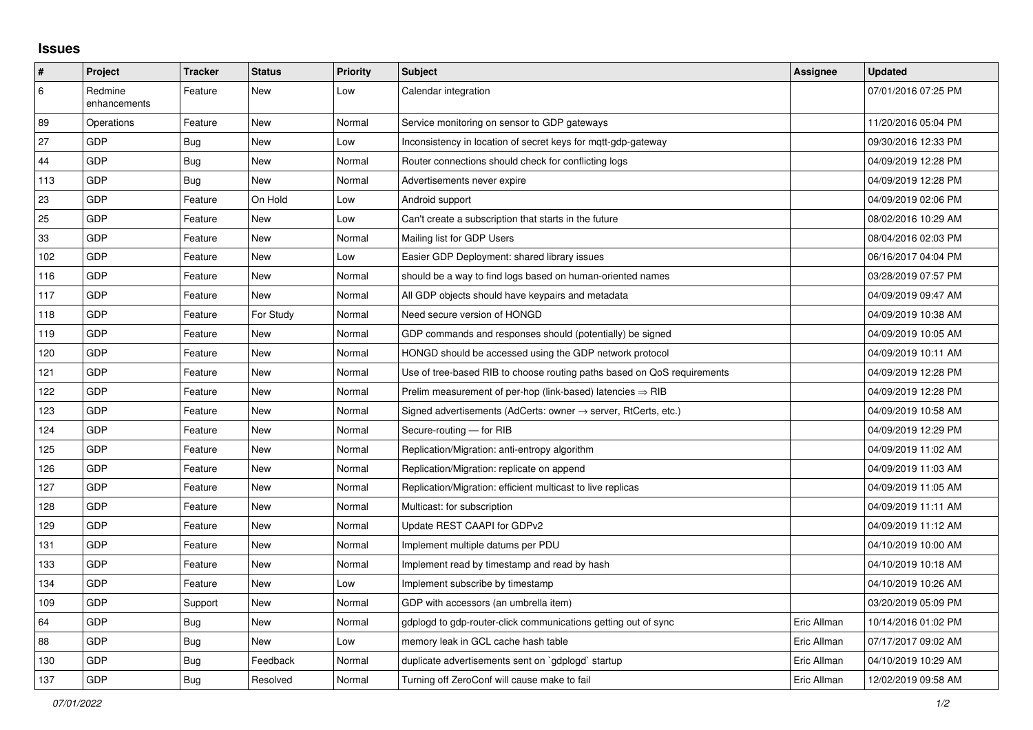## **Issues**

| #   | Project                 | <b>Tracker</b> | <b>Status</b> | <b>Priority</b> | <b>Subject</b>                                                             | <b>Assignee</b> | <b>Updated</b>      |
|-----|-------------------------|----------------|---------------|-----------------|----------------------------------------------------------------------------|-----------------|---------------------|
| 6   | Redmine<br>enhancements | Feature        | <b>New</b>    | Low             | Calendar integration                                                       |                 | 07/01/2016 07:25 PM |
| 89  | Operations              | Feature        | <b>New</b>    | Normal          | Service monitoring on sensor to GDP gateways                               |                 | 11/20/2016 05:04 PM |
| 27  | <b>GDP</b>              | <b>Bug</b>     | New           | Low             | Inconsistency in location of secret keys for mqtt-gdp-gateway              |                 | 09/30/2016 12:33 PM |
| 44  | <b>GDP</b>              | Bug            | <b>New</b>    | Normal          | Router connections should check for conflicting logs                       |                 | 04/09/2019 12:28 PM |
| 113 | GDP                     | <b>Bug</b>     | <b>New</b>    | Normal          | Advertisements never expire                                                |                 | 04/09/2019 12:28 PM |
| 23  | <b>GDP</b>              | Feature        | On Hold       | Low             | Android support                                                            |                 | 04/09/2019 02:06 PM |
| 25  | <b>GDP</b>              | Feature        | <b>New</b>    | Low             | Can't create a subscription that starts in the future                      |                 | 08/02/2016 10:29 AM |
| 33  | <b>GDP</b>              | Feature        | <b>New</b>    | Normal          | Mailing list for GDP Users                                                 |                 | 08/04/2016 02:03 PM |
| 102 | <b>GDP</b>              | Feature        | New           | Low             | Easier GDP Deployment: shared library issues                               |                 | 06/16/2017 04:04 PM |
| 116 | GDP                     | Feature        | <b>New</b>    | Normal          | should be a way to find logs based on human-oriented names                 |                 | 03/28/2019 07:57 PM |
| 117 | GDP                     | Feature        | <b>New</b>    | Normal          | All GDP objects should have keypairs and metadata                          |                 | 04/09/2019 09:47 AM |
| 118 | GDP                     | Feature        | For Study     | Normal          | Need secure version of HONGD                                               |                 | 04/09/2019 10:38 AM |
| 119 | <b>GDP</b>              | Feature        | <b>New</b>    | Normal          | GDP commands and responses should (potentially) be signed                  |                 | 04/09/2019 10:05 AM |
| 120 | <b>GDP</b>              | Feature        | New           | Normal          | HONGD should be accessed using the GDP network protocol                    |                 | 04/09/2019 10:11 AM |
| 121 | GDP                     | Feature        | <b>New</b>    | Normal          | Use of tree-based RIB to choose routing paths based on QoS requirements    |                 | 04/09/2019 12:28 PM |
| 122 | <b>GDP</b>              | Feature        | <b>New</b>    | Normal          | Prelim measurement of per-hop (link-based) latencies $\Rightarrow$ RIB     |                 | 04/09/2019 12:28 PM |
| 123 | GDP                     | Feature        | <b>New</b>    | Normal          | Signed advertisements (AdCerts: owner $\rightarrow$ server, RtCerts, etc.) |                 | 04/09/2019 10:58 AM |
| 124 | GDP                     | Feature        | <b>New</b>    | Normal          | Secure-routing - for RIB                                                   |                 | 04/09/2019 12:29 PM |
| 125 | GDP                     | Feature        | New           | Normal          | Replication/Migration: anti-entropy algorithm                              |                 | 04/09/2019 11:02 AM |
| 126 | GDP                     | Feature        | <b>New</b>    | Normal          | Replication/Migration: replicate on append                                 |                 | 04/09/2019 11:03 AM |
| 127 | GDP                     | Feature        | <b>New</b>    | Normal          | Replication/Migration: efficient multicast to live replicas                |                 | 04/09/2019 11:05 AM |
| 128 | <b>GDP</b>              | Feature        | <b>New</b>    | Normal          | Multicast: for subscription                                                |                 | 04/09/2019 11:11 AM |
| 129 | <b>GDP</b>              | Feature        | <b>New</b>    | Normal          | Update REST CAAPI for GDPv2                                                |                 | 04/09/2019 11:12 AM |
| 131 | <b>GDP</b>              | Feature        | <b>New</b>    | Normal          | Implement multiple datums per PDU                                          |                 | 04/10/2019 10:00 AM |
| 133 | GDP                     | Feature        | <b>New</b>    | Normal          | Implement read by timestamp and read by hash                               |                 | 04/10/2019 10:18 AM |
| 134 | <b>GDP</b>              | Feature        | <b>New</b>    | Low             | Implement subscribe by timestamp                                           |                 | 04/10/2019 10:26 AM |
| 109 | GDP                     | Support        | <b>New</b>    | Normal          | GDP with accessors (an umbrella item)                                      |                 | 03/20/2019 05:09 PM |
| 64  | GDP                     | <b>Bug</b>     | <b>New</b>    | Normal          | gdplogd to gdp-router-click communications getting out of sync             | Eric Allman     | 10/14/2016 01:02 PM |
| 88  | <b>GDP</b>              | Bug            | New           | Low             | memory leak in GCL cache hash table                                        | Eric Allman     | 07/17/2017 09:02 AM |
| 130 | GDP                     | <b>Bug</b>     | Feedback      | Normal          | duplicate advertisements sent on `gdplogd` startup                         | Eric Allman     | 04/10/2019 10:29 AM |
| 137 | GDP                     | <b>Bug</b>     | Resolved      | Normal          | Turning off ZeroConf will cause make to fail                               | Eric Allman     | 12/02/2019 09:58 AM |